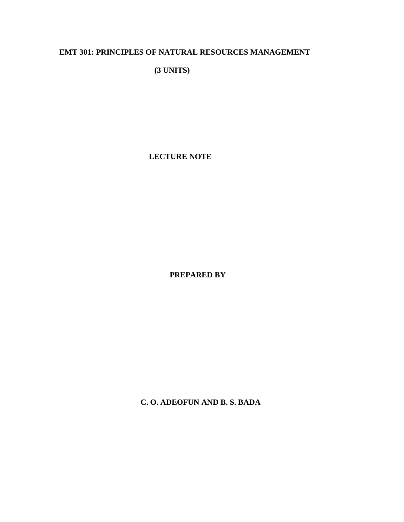# **EMT 301: PRINCIPLES OF NATURAL RESOURCES MANAGEMENT**

**(3 UNITS)** 

**LECTURE NOTE**

**PREPARED BY**

**C. O. ADEOFUN AND B. S. BADA**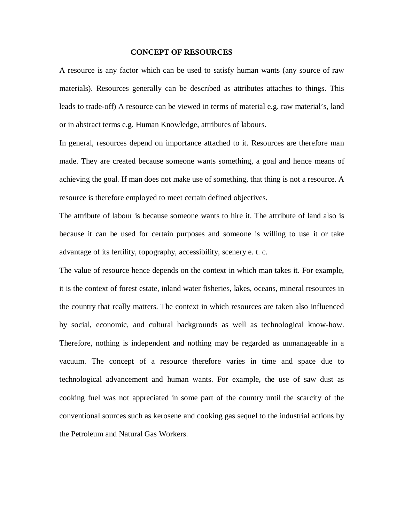#### **CONCEPT OF RESOURCES**

A resource is any factor which can be used to satisfy human wants (any source of raw materials). Resources generally can be described as attributes attaches to things. This leads to trade-off) A resource can be viewed in terms of material e.g. raw material's, land or in abstract terms e.g. Human Knowledge, attributes of labours.

In general, resources depend on importance attached to it. Resources are therefore man made. They are created because someone wants something, a goal and hence means of achieving the goal. If man does not make use of something, that thing is not a resource. A resource is therefore employed to meet certain defined objectives.

The attribute of labour is because someone wants to hire it. The attribute of land also is because it can be used for certain purposes and someone is willing to use it or take advantage of its fertility, topography, accessibility, scenery e. t. c.

The value of resource hence depends on the context in which man takes it. For example, it is the context of forest estate, inland water fisheries, lakes, oceans, mineral resources in the country that really matters. The context in which resources are taken also influenced by social, economic, and cultural backgrounds as well as technological know-how. Therefore, nothing is independent and nothing may be regarded as unmanageable in a vacuum. The concept of a resource therefore varies in time and space due to technological advancement and human wants. For example, the use of saw dust as cooking fuel was not appreciated in some part of the country until the scarcity of the conventional sources such as kerosene and cooking gas sequel to the industrial actions by the Petroleum and Natural Gas Workers.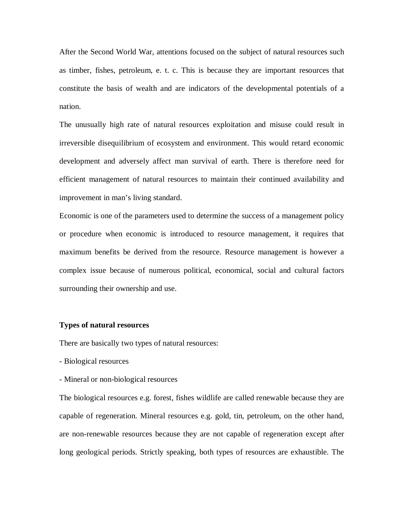After the Second World War, attentions focused on the subject of natural resources such as timber, fishes, petroleum, e. t. c. This is because they are important resources that constitute the basis of wealth and are indicators of the developmental potentials of a nation.

The unusually high rate of natural resources exploitation and misuse could result in irreversible disequilibrium of ecosystem and environment. This would retard economic development and adversely affect man survival of earth. There is therefore need for efficient management of natural resources to maintain their continued availability and improvement in man's living standard.

Economic is one of the parameters used to determine the success of a management policy or procedure when economic is introduced to resource management, it requires that maximum benefits be derived from the resource. Resource management is however a complex issue because of numerous political, economical, social and cultural factors surrounding their ownership and use.

## **Types of natural resources**

There are basically two types of natural resources:

- Biological resources

- Mineral or non-biological resources

The biological resources e.g. forest, fishes wildlife are called renewable because they are capable of regeneration. Mineral resources e.g. gold, tin, petroleum, on the other hand, are non-renewable resources because they are not capable of regeneration except after long geological periods. Strictly speaking, both types of resources are exhaustible. The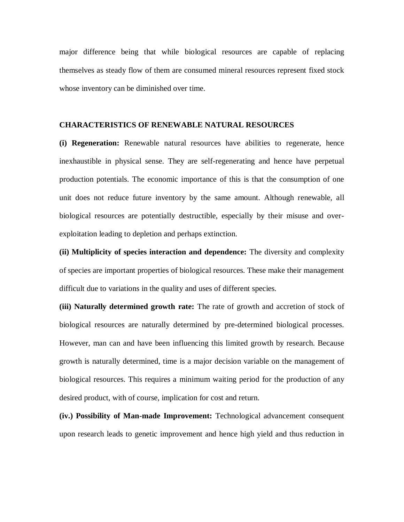major difference being that while biological resources are capable of replacing themselves as steady flow of them are consumed mineral resources represent fixed stock whose inventory can be diminished over time.

## **CHARACTERISTICS OF RENEWABLE NATURAL RESOURCES**

**(i) Regeneration:** Renewable natural resources have abilities to regenerate, hence inexhaustible in physical sense. They are self-regenerating and hence have perpetual production potentials. The economic importance of this is that the consumption of one unit does not reduce future inventory by the same amount. Although renewable, all biological resources are potentially destructible, especially by their misuse and overexploitation leading to depletion and perhaps extinction.

**(ii) Multiplicity of species interaction and dependence:** The diversity and complexity of species are important properties of biological resources. These make their management difficult due to variations in the quality and uses of different species.

**(iii) Naturally determined growth rate:** The rate of growth and accretion of stock of biological resources are naturally determined by pre-determined biological processes. However, man can and have been influencing this limited growth by research. Because growth is naturally determined, time is a major decision variable on the management of biological resources. This requires a minimum waiting period for the production of any desired product, with of course, implication for cost and return.

**(iv.) Possibility of Man-made Improvement:** Technological advancement consequent upon research leads to genetic improvement and hence high yield and thus reduction in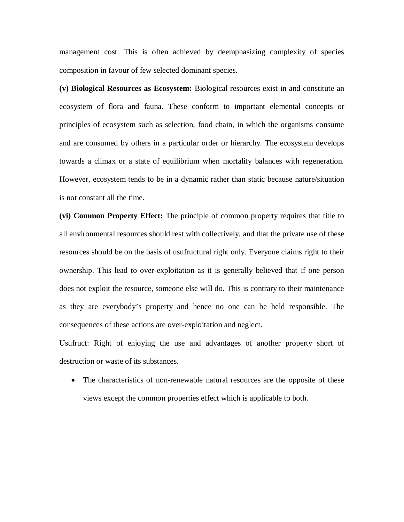management cost. This is often achieved by deemphasizing complexity of species composition in favour of few selected dominant species.

**(v) Biological Resources as Ecosystem:** Biological resources exist in and constitute an ecosystem of flora and fauna. These conform to important elemental concepts or principles of ecosystem such as selection, food chain, in which the organisms consume and are consumed by others in a particular order or hierarchy. The ecosystem develops towards a climax or a state of equilibrium when mortality balances with regeneration. However, ecosystem tends to be in a dynamic rather than static because nature/situation is not constant all the time.

**(vi) Common Property Effect:** The principle of common property requires that title to all environmental resources should rest with collectively, and that the private use of these resources should be on the basis of usufructural right only. Everyone claims right to their ownership. This lead to over-exploitation as it is generally believed that if one person does not exploit the resource, someone else will do. This is contrary to their maintenance as they are everybody's property and hence no one can be held responsible. The consequences of these actions are over-exploitation and neglect.

Usufruct: Right of enjoying the use and advantages of another property short of destruction or waste of its substances.

• The characteristics of non-renewable natural resources are the opposite of these views except the common properties effect which is applicable to both.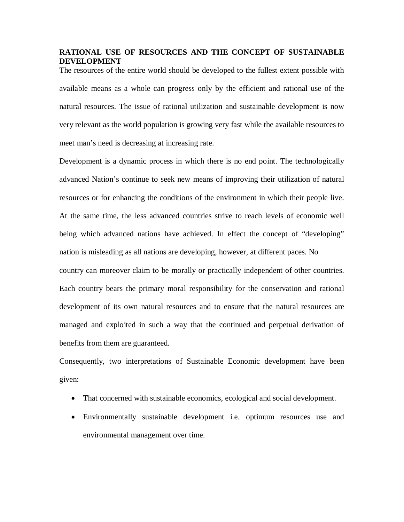# **RATIONAL USE OF RESOURCES AND THE CONCEPT OF SUSTAINABLE DEVELOPMENT**

The resources of the entire world should be developed to the fullest extent possible with available means as a whole can progress only by the efficient and rational use of the natural resources. The issue of rational utilization and sustainable development is now very relevant as the world population is growing very fast while the available resources to meet man's need is decreasing at increasing rate.

Development is a dynamic process in which there is no end point. The technologically advanced Nation's continue to seek new means of improving their utilization of natural resources or for enhancing the conditions of the environment in which their people live. At the same time, the less advanced countries strive to reach levels of economic well being which advanced nations have achieved. In effect the concept of "developing" nation is misleading as all nations are developing, however, at different paces. No country can moreover claim to be morally or practically independent of other countries. Each country bears the primary moral responsibility for the conservation and rational development of its own natural resources and to ensure that the natural resources are managed and exploited in such a way that the continued and perpetual derivation of benefits from them are guaranteed.

Consequently, two interpretations of Sustainable Economic development have been given:

- That concerned with sustainable economics, ecological and social development.
- Environmentally sustainable development i.e. optimum resources use and environmental management over time.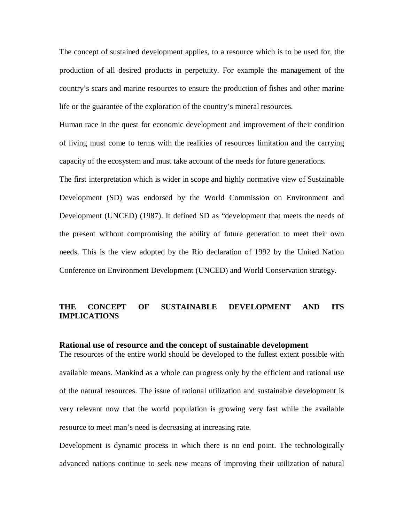The concept of sustained development applies, to a resource which is to be used for, the production of all desired products in perpetuity. For example the management of the country's scars and marine resources to ensure the production of fishes and other marine life or the guarantee of the exploration of the country's mineral resources.

Human race in the quest for economic development and improvement of their condition of living must come to terms with the realities of resources limitation and the carrying capacity of the ecosystem and must take account of the needs for future generations.

The first interpretation which is wider in scope and highly normative view of Sustainable Development (SD) was endorsed by the World Commission on Environment and Development (UNCED) (1987). It defined SD as "development that meets the needs of the present without compromising the ability of future generation to meet their own needs. This is the view adopted by the Rio declaration of 1992 by the United Nation Conference on Environment Development (UNCED) and World Conservation strategy.

# **THE CONCEPT OF SUSTAINABLE DEVELOPMENT AND ITS IMPLICATIONS**

## **Rational use of resource and the concept of sustainable development**

The resources of the entire world should be developed to the fullest extent possible with available means. Mankind as a whole can progress only by the efficient and rational use of the natural resources. The issue of rational utilization and sustainable development is very relevant now that the world population is growing very fast while the available resource to meet man's need is decreasing at increasing rate.

Development is dynamic process in which there is no end point. The technologically advanced nations continue to seek new means of improving their utilization of natural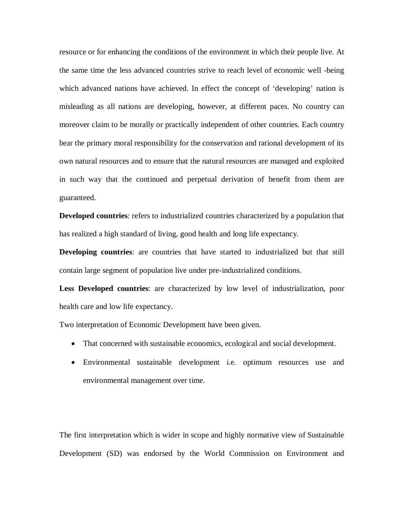resource or for enhancing the conditions of the environment in which their people live. At the same time the less advanced countries strive to reach level of economic well -being which advanced nations have achieved. In effect the concept of 'developing' nation is misleading as all nations are developing, however, at different paces. No country can moreover claim to be morally or practically independent of other countries. Each country bear the primary moral responsibility for the conservation and rational development of its own natural resources and to ensure that the natural resources are managed and exploited in such way that the continued and perpetual derivation of benefit from them are guaranteed.

**Developed countries**: refers to industrialized countries characterized by a population that has realized a high standard of living, good health and long life expectancy.

**Developing countries**: are countries that have started to industrialized but that still contain large segment of population live under pre-industrialized conditions.

**Less Developed countries**: are characterized by low level of industrialization, poor health care and low life expectancy.

Two interpretation of Economic Development have been given.

- That concerned with sustainable economics, ecological and social development.
- Environmental sustainable development i.e. optimum resources use and environmental management over time.

The first interpretation which is wider in scope and highly normative view of Sustainable Development (SD) was endorsed by the World Commission on Environment and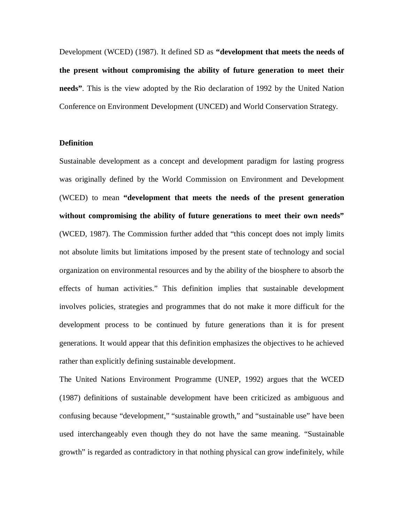Development (WCED) (1987). It defined SD as **"development that meets the needs of the present without compromising the ability of future generation to meet their needs"**. This is the view adopted by the Rio declaration of 1992 by the United Nation Conference on Environment Development (UNCED) and World Conservation Strategy.

## **Definition**

Sustainable development as a concept and development paradigm for lasting progress was originally defined by the World Commission on Environment and Development (WCED) to mean **"development that meets the needs of the present generation without compromising the ability of future generations to meet their own needs"** (WCED, 1987). The Commission further added that "this concept does not imply limits not absolute limits but limitations imposed by the present state of technology and social organization on environmental resources and by the ability of the biosphere to absorb the effects of human activities." This definition implies that sustainable development involves policies, strategies and programmes that do not make it more difficult for the development process to be continued by future generations than it is for present generations. It would appear that this definition emphasizes the objectives to he achieved rather than explicitly defining sustainable development.

The United Nations Environment Programme (UNEP, 1992) argues that the WCED (1987) definitions of sustainable development have been criticized as ambiguous and confusing because "development," "sustainable growth," and "sustainable use" have been used interchangeably even though they do not have the same meaning. "Sustainable growth" is regarded as contradictory in that nothing physical can grow indefinitely, while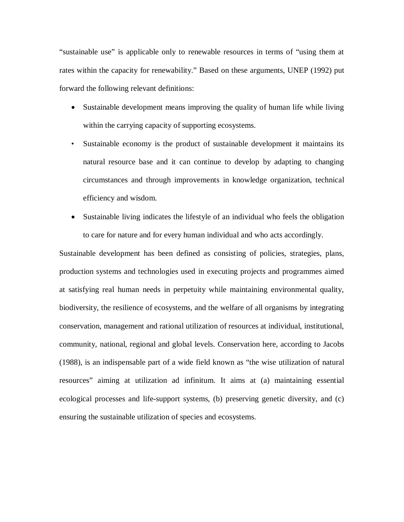"sustainable use" is applicable only to renewable resources in terms of "using them at rates within the capacity for renewability." Based on these arguments, UNEP (1992) put forward the following relevant definitions:

- Sustainable development means improving the quality of human life while living within the carrying capacity of supporting ecosystems.
- Sustainable economy is the product of sustainable development it maintains its natural resource base and it can continue to develop by adapting to changing circumstances and through improvements in knowledge organization, technical efficiency and wisdom.
- Sustainable living indicates the lifestyle of an individual who feels the obligation to care for nature and for every human individual and who acts accordingly.

Sustainable development has been defined as consisting of policies, strategies, plans, production systems and technologies used in executing projects and programmes aimed at satisfying real human needs in perpetuity while maintaining environmental quality, biodiversity, the resilience of ecosystems, and the welfare of all organisms by integrating conservation, management and rational utilization of resources at individual, institutional, community, national, regional and global levels. Conservation here, according to Jacobs (1988), is an indispensable part of a wide field known as "the wise utilization of natural resources" aiming at utilization ad infinitum. It aims at (a) maintaining essential ecological processes and life-support systems, (b) preserving genetic diversity, and (c) ensuring the sustainable utilization of species and ecosystems.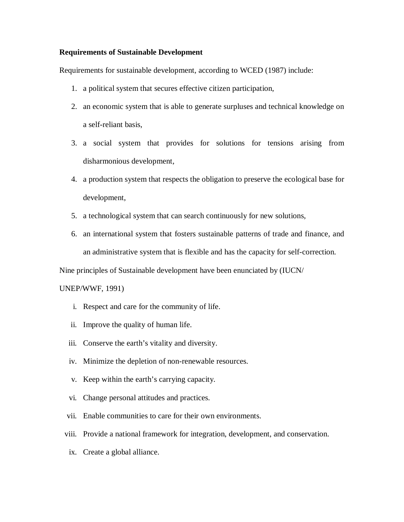## **Requirements of Sustainable Development**

Requirements for sustainable development, according to WCED (1987) include:

- 1. a political system that secures effective citizen participation,
- 2. an economic system that is able to generate surpluses and technical knowledge on a self-reliant basis,
- 3. a social system that provides for solutions for tensions arising from disharmonious development,
- 4. a production system that respects the obligation to preserve the ecological base for development,
- 5. a technological system that can search continuously for new solutions,
- 6. an international system that fosters sustainable patterns of trade and finance, and an administrative system that is flexible and has the capacity for self-correction.

Nine principles of Sustainable development have been enunciated by (IUCN/

## UNEP/WWF, 1991)

- i. Respect and care for the community of life.
- ii. Improve the quality of human life.
- iii. Conserve the earth's vitality and diversity.
- iv. Minimize the depletion of non-renewable resources.
- v. Keep within the earth's carrying capacity.
- vi. Change personal attitudes and practices.
- vii. Enable communities to care for their own environments.
- viii. Provide a national framework for integration, development, and conservation.
- ix. Create a global alliance.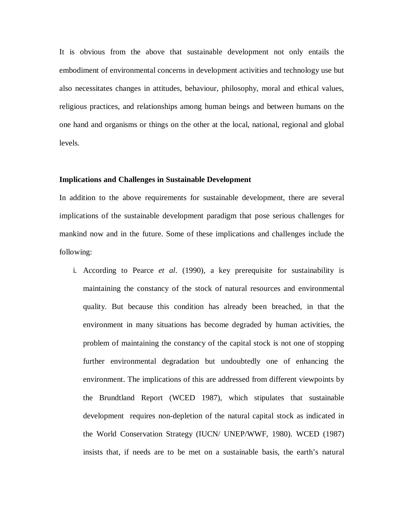It is obvious from the above that sustainable development not only entails the embodiment of environmental concerns in development activities and technology use but also necessitates changes in attitudes, behaviour, philosophy, moral and ethical values, religious practices, and relationships among human beings and between humans on the one hand and organisms or things on the other at the local, national, regional and global levels.

#### **Implications and Challenges in Sustainable Development**

In addition to the above requirements for sustainable development, there are several implications of the sustainable development paradigm that pose serious challenges for mankind now and in the future. Some of these implications and challenges include the following:

i. According to Pearce *et al*. (1990), a key prerequisite for sustainability is maintaining the constancy of the stock of natural resources and environmental quality. But because this condition has already been breached, in that the environment in many situations has become degraded by human activities, the problem of maintaining the constancy of the capital stock is not one of stopping further environmental degradation but undoubtedly one of enhancing the environment. The implications of this are addressed from different viewpoints by the Brundtland Report (WCED 1987), which stipulates that sustainable development requires non-depletion of the natural capital stock as indicated in the World Conservation Strategy (IUCN/ UNEP/WWF, 1980). WCED (1987) insists that, if needs are to be met on a sustainable basis, the earth's natural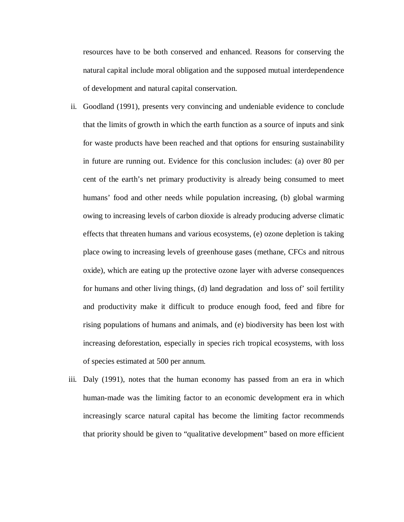resources have to be both conserved and enhanced. Reasons for conserving the natural capital include moral obligation and the supposed mutual interdependence of development and natural capital conservation.

- ii. Goodland (1991), presents very convincing and undeniable evidence to conclude that the limits of growth in which the earth function as a source of inputs and sink for waste products have been reached and that options for ensuring sustainability in future are running out. Evidence for this conclusion includes: (a) over 80 per cent of the earth's net primary productivity is already being consumed to meet humans' food and other needs while population increasing, (b) global warming owing to increasing levels of carbon dioxide is already producing adverse climatic effects that threaten humans and various ecosystems, (e) ozone depletion is taking place owing to increasing levels of greenhouse gases (methane, CFCs and nitrous oxide), which are eating up the protective ozone layer with adverse consequences for humans and other living things, (d) land degradation and loss of' soil fertility and productivity make it difficult to produce enough food, feed and fibre for rising populations of humans and animals, and (e) biodiversity has been lost with increasing deforestation, especially in species rich tropical ecosystems, with loss of species estimated at 500 per annum.
- iii. Daly (1991), notes that the human economy has passed from an era in which human-made was the limiting factor to an economic development era in which increasingly scarce natural capital has become the limiting factor recommends that priority should be given to "qualitative development" based on more efficient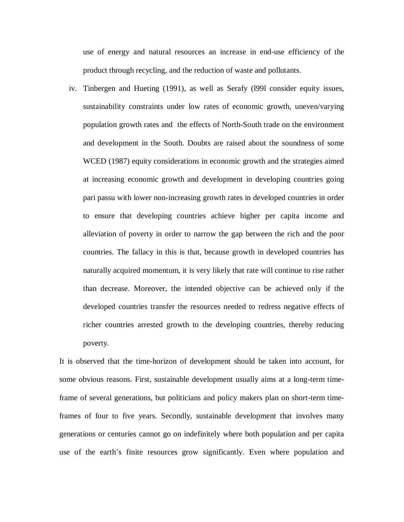use of energy and natural resources an increase in end-use efficiency of the product through recycling, and the reduction of waste and pollutants.

iv. Tinbergen and Hueting (1991), as well as Serafy (l99l consider equity issues, sustainability constraints under low rates of economic growth, uneven/varying population growth rates and the effects of North-South trade on the environment and development in the South. Doubts are raised about the soundness of some WCED (1987) equity considerations in economic growth and the strategies aimed at increasing economic growth and development in developing countries going pari passu with lower non-increasing growth rates in developed countries in order to ensure that developing countries achieve higher per capita income and alleviation of poverty in order to narrow the gap between the rich and the poor countries. The fallacy in this is that, because growth in developed countries has naturally acquired momentum, it is very likely that rate will continue to rise rather than decrease. Moreover, the intended objective can be achieved only if the developed countries transfer the resources needed to redress negative effects of richer countries arrested growth to the developing countries, thereby reducing poverty.

It is observed that the time-horizon of development should be taken into account, for some obvious reasons. First, sustainable development usually aims at a long-term timeframe of several generations, but politicians and policy makers plan on short-term timeframes of four to five years. Secondly, sustainable development that involves many generations or centuries cannot go on indefinitely where both population and per capita use of the earth's finite resources grow significantly. Even where population and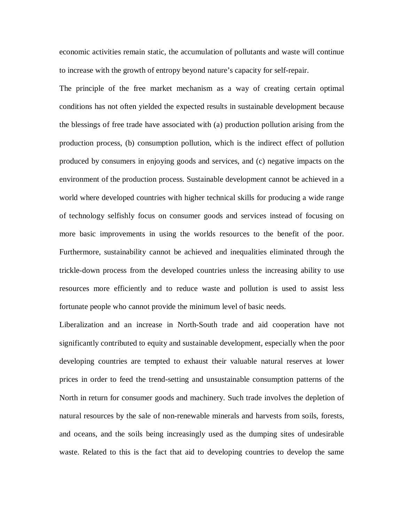economic activities remain static, the accumulation of pollutants and waste will continue to increase with the growth of entropy beyond nature's capacity for self-repair.

The principle of the free market mechanism as a way of creating certain optimal conditions has not often yielded the expected results in sustainable development because the blessings of free trade have associated with (a) production pollution arising from the production process, (b) consumption pollution, which is the indirect effect of pollution produced by consumers in enjoying goods and services, and (c) negative impacts on the environment of the production process. Sustainable development cannot be achieved in a world where developed countries with higher technical skills for producing a wide range of technology selfishly focus on consumer goods and services instead of focusing on more basic improvements in using the worlds resources to the benefit of the poor. Furthermore, sustainability cannot be achieved and inequalities eliminated through the trickle-down process from the developed countries unless the increasing ability to use resources more efficiently and to reduce waste and pollution is used to assist less fortunate people who cannot provide the minimum level of basic needs.

Liberalization and an increase in North-South trade and aid cooperation have not significantly contributed to equity and sustainable development, especially when the poor developing countries are tempted to exhaust their valuable natural reserves at lower prices in order to feed the trend-setting and unsustainable consumption patterns of the North in return for consumer goods and machinery. Such trade involves the depletion of natural resources by the sale of non-renewable minerals and harvests from soils, forests, and oceans, and the soils being increasingly used as the dumping sites of undesirable waste. Related to this is the fact that aid to developing countries to develop the same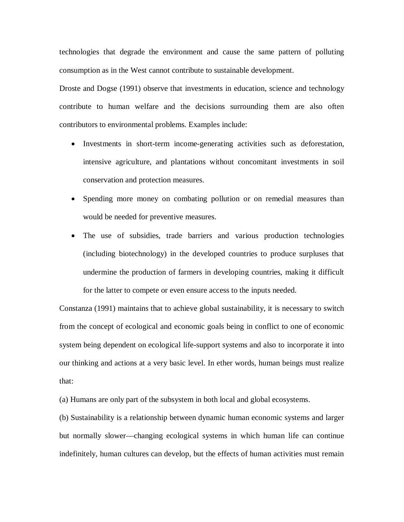technologies that degrade the environment and cause the same pattern of polluting consumption as in the West cannot contribute to sustainable development.

Droste and Dogse (1991) observe that investments in education, science and technology contribute to human welfare and the decisions surrounding them are also often contributors to environmental problems. Examples include:

- Investments in short-term income-generating activities such as deforestation, intensive agriculture, and plantations without concomitant investments in soil conservation and protection measures.
- Spending more money on combating pollution or on remedial measures than would be needed for preventive measures.
- The use of subsidies, trade barriers and various production technologies (including biotechnology) in the developed countries to produce surpluses that undermine the production of farmers in developing countries, making it difficult for the latter to compete or even ensure access to the inputs needed.

Constanza (1991) maintains that to achieve global sustainability, it is necessary to switch from the concept of ecological and economic goals being in conflict to one of economic system being dependent on ecological life-support systems and also to incorporate it into our thinking and actions at a very basic level. In ether words, human beings must realize that:

(a) Humans are only part of the subsystem in both local and global ecosystems.

(b) Sustainability is a relationship between dynamic human economic systems and larger but normally slower—changing ecological systems in which human life can continue indefinitely, human cultures can develop, but the effects of human activities must remain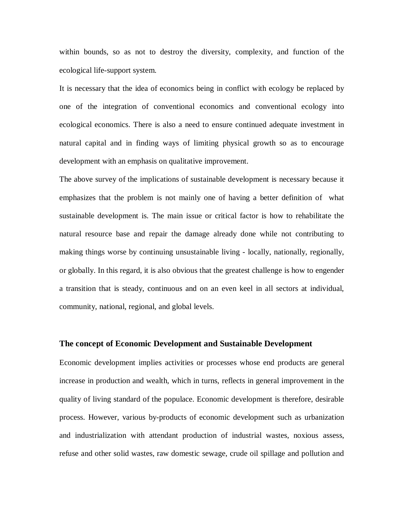within bounds, so as not to destroy the diversity, complexity, and function of the ecological life-support system.

It is necessary that the idea of economics being in conflict with ecology be replaced by one of the integration of conventional economics and conventional ecology into ecological economics. There is also a need to ensure continued adequate investment in natural capital and in finding ways of limiting physical growth so as to encourage development with an emphasis on qualitative improvement.

The above survey of the implications of sustainable development is necessary because it emphasizes that the problem is not mainly one of having a better definition of what sustainable development is. The main issue or critical factor is how to rehabilitate the natural resource base and repair the damage already done while not contributing to making things worse by continuing unsustainable living - locally, nationally, regionally, or globally. In this regard, it is also obvious that the greatest challenge is how to engender a transition that is steady, continuous and on an even keel in all sectors at individual, community, national, regional, and global levels.

#### **The concept of Economic Development and Sustainable Development**

Economic development implies activities or processes whose end products are general increase in production and wealth, which in turns, reflects in general improvement in the quality of living standard of the populace. Economic development is therefore, desirable process. However, various by-products of economic development such as urbanization and industrialization with attendant production of industrial wastes, noxious assess, refuse and other solid wastes, raw domestic sewage, crude oil spillage and pollution and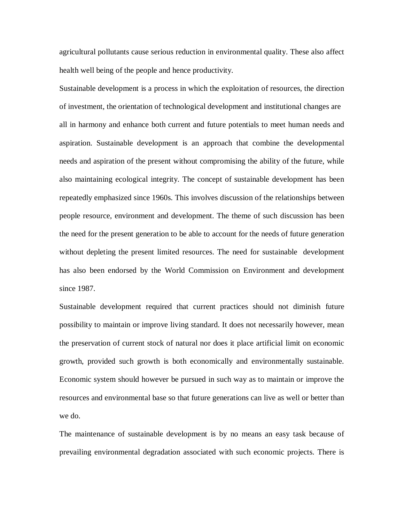agricultural pollutants cause serious reduction in environmental quality. These also affect health well being of the people and hence productivity.

Sustainable development is a process in which the exploitation of resources, the direction of investment, the orientation of technological development and institutional changes are all in harmony and enhance both current and future potentials to meet human needs and aspiration. Sustainable development is an approach that combine the developmental needs and aspiration of the present without compromising the ability of the future, while also maintaining ecological integrity. The concept of sustainable development has been repeatedly emphasized since 1960s. This involves discussion of the relationships between people resource, environment and development. The theme of such discussion has been the need for the present generation to be able to account for the needs of future generation without depleting the present limited resources. The need for sustainable development has also been endorsed by the World Commission on Environment and development since 1987.

Sustainable development required that current practices should not diminish future possibility to maintain or improve living standard. It does not necessarily however, mean the preservation of current stock of natural nor does it place artificial limit on economic growth, provided such growth is both economically and environmentally sustainable. Economic system should however be pursued in such way as to maintain or improve the resources and environmental base so that future generations can live as well or better than we do.

The maintenance of sustainable development is by no means an easy task because of prevailing environmental degradation associated with such economic projects. There is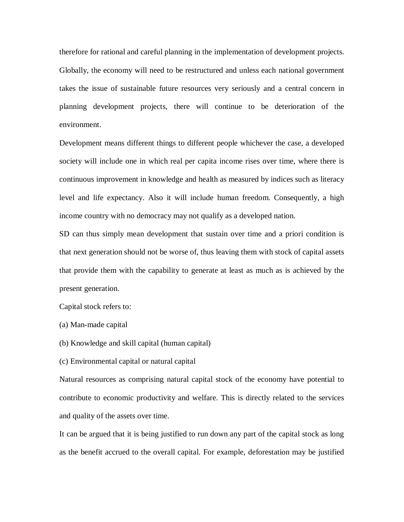therefore for rational and careful planning in the implementation of development projects. Globally, the economy will need to be restructured and unless each national government takes the issue of sustainable future resources very seriously and a central concern in planning development projects, there will continue to be deterioration of the environment.

Development means different things to different people whichever the case, a developed society will include one in which real per capita income rises over time, where there is continuous improvement in knowledge and health as measured by indices such as literacy level and life expectancy. Also it will include human freedom. Consequently, a high income country with no democracy may not qualify as a developed nation.

SD can thus simply mean development that sustain over time and a priori condition is that next generation should not be worse of, thus leaving them with stock of capital assets that provide them with the capability to generate at least as much as is achieved by the present generation.

Capital stock refers to:

(a) Man-made capital

(b) Knowledge and skill capital (human capital)

(c) Environmental capital or natural capital

Natural resources as comprising natural capital stock of the economy have potential to contribute to economic productivity and welfare. This is directly related to the services and quality of the assets over time.

It can be argued that it is being justified to run down any part of the capital stock as long as the benefit accrued to the overall capital. For example, deforestation may be justified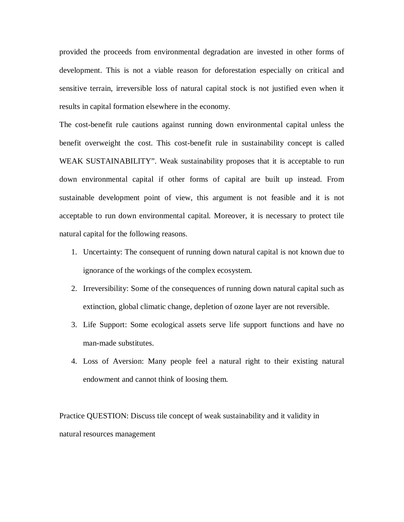provided the proceeds from environmental degradation are invested in other forms of development. This is not a viable reason for deforestation especially on critical and sensitive terrain, irreversible loss of natural capital stock is not justified even when it results in capital formation elsewhere in the economy.

The cost-benefit rule cautions against running down environmental capital unless the benefit overweight the cost. This cost-benefit rule in sustainability concept is called WEAK SUSTAINABILITY". Weak sustainability proposes that it is acceptable to run down environmental capital if other forms of capital are built up instead. From sustainable development point of view, this argument is not feasible and it is not acceptable to run down environmental capital. Moreover, it is necessary to protect tile natural capital for the following reasons.

- 1. Uncertainty: The consequent of running down natural capital is not known due to ignorance of the workings of the complex ecosystem.
- 2. Irreversibility: Some of the consequences of running down natural capital such as extinction, global climatic change, depletion of ozone layer are not reversible.
- 3. Life Support: Some ecological assets serve life support functions and have no man-made substitutes.
- 4. Loss of Aversion: Many people feel a natural right to their existing natural endowment and cannot think of loosing them.

Practice QUESTION: Discuss tile concept of weak sustainability and it validity in natural resources management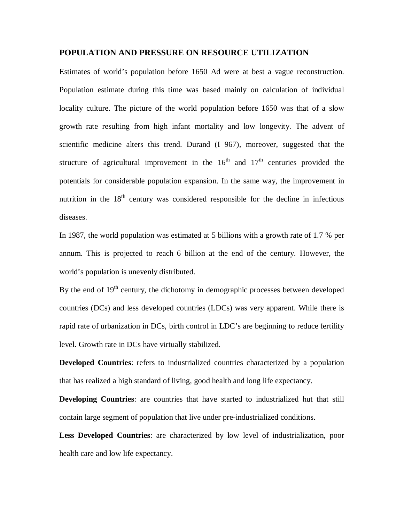## **POPULATION AND PRESSURE ON RESOURCE UTILIZATION**

Estimates of world's population before 1650 Ad were at best a vague reconstruction. Population estimate during this time was based mainly on calculation of individual locality culture. The picture of the world population before 1650 was that of a slow growth rate resulting from high infant mortality and low longevity. The advent of scientific medicine alters this trend. Durand (I 967), moreover, suggested that the structure of agricultural improvement in the  $16<sup>th</sup>$  and  $17<sup>th</sup>$  centuries provided the potentials for considerable population expansion. In the same way, the improvement in nutrition in the  $18<sup>th</sup>$  century was considered responsible for the decline in infectious diseases.

In 1987, the world population was estimated at 5 billions with a growth rate of 1.7 % per annum. This is projected to reach 6 billion at the end of the century. However, the world's population is unevenly distributed.

By the end of  $19<sup>th</sup>$  century, the dichotomy in demographic processes between developed countries (DCs) and less developed countries (LDCs) was very apparent. While there is rapid rate of urbanization in DCs, birth control in LDC's are beginning to reduce fertility level. Growth rate in DCs have virtually stabilized.

**Developed Countries**: refers to industrialized countries characterized by a population that has realized a high standard of living, good health and long life expectancy.

**Developing Countries**: are countries that have started to industrialized hut that still contain large segment of population that live under pre-industrialized conditions.

**Less Developed Countries**: are characterized by low level of industrialization, poor health care and low life expectancy.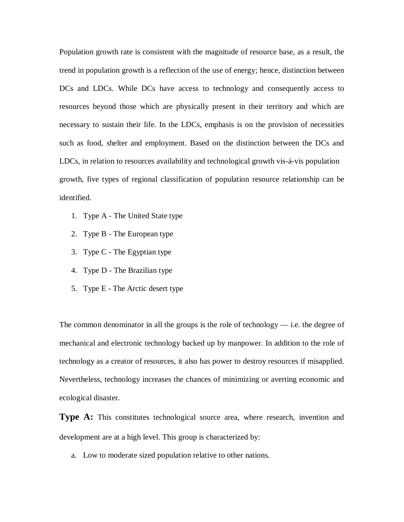Population growth rate is consistent with the magnitude of resource base, as a result, the trend in population growth is a reflection of the use of energy; hence, distinction between DCs and LDCs. While DCs have access to technology and consequently access to resources beyond those which are physically present in their territory and which are necessary to sustain their life. In the LDCs, emphasis is on the provision of necessities such as food, shelter and employment. Based on the distinction between the DCs and LDCs, in relation to resources availability and technological growth vis-á-vis population growth, five types of regional classification of population resource relationship can be identified.

- 1. Type A The United State type
- 2. Type B The European type
- 3. Type C The Egyptian type
- 4. Type D The Brazilian type
- 5. Type E The Arctic desert type

The common denominator in all the groups is the role of technology  $-$  i.e. the degree of mechanical and electronic technology backed up by manpower. In addition to the role of technology as a creator of resources, it also has power to destroy resources if misapplied. Nevertheless, technology increases the chances of minimizing or averting economic and ecological disaster.

**Type A:** This constitutes technological source area, where research, invention and development are at a high level. This group is characterized by:

a. Low to moderate sized population relative to other nations.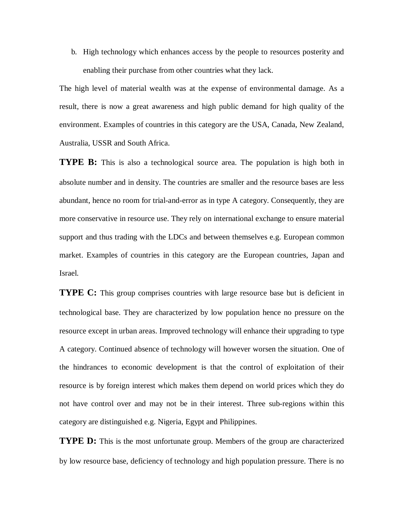b. High technology which enhances access by the people to resources posterity and enabling their purchase from other countries what they lack.

The high level of material wealth was at the expense of environmental damage. As a result, there is now a great awareness and high public demand for high quality of the environment. Examples of countries in this category are the USA, Canada, New Zealand, Australia, USSR and South Africa.

**TYPE B:** This is also a technological source area. The population is high both in absolute number and in density. The countries are smaller and the resource bases are less abundant, hence no room for trial-and-error as in type A category. Consequently, they are more conservative in resource use. They rely on international exchange to ensure material support and thus trading with the LDCs and between themselves e.g. European common market. Examples of countries in this category are the European countries, Japan and Israel.

**TYPE C:** This group comprises countries with large resource base but is deficient in technological base. They are characterized by low population hence no pressure on the resource except in urban areas. Improved technology will enhance their upgrading to type A category. Continued absence of technology will however worsen the situation. One of the hindrances to economic development is that the control of exploitation of their resource is by foreign interest which makes them depend on world prices which they do not have control over and may not be in their interest. Three sub-regions within this category are distinguished e.g. Nigeria, Egypt and Philippines.

**TYPE D:** This is the most unfortunate group. Members of the group are characterized by low resource base, deficiency of technology and high population pressure. There is no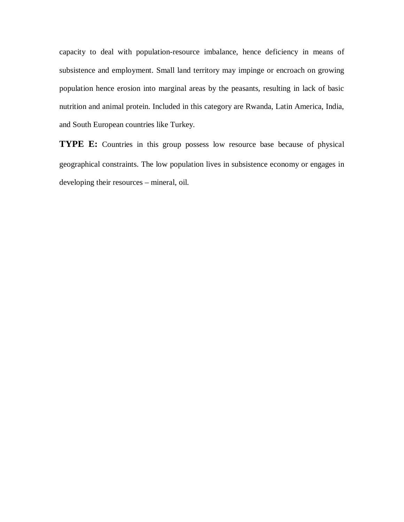capacity to deal with population-resource imbalance, hence deficiency in means of subsistence and employment. Small land territory may impinge or encroach on growing population hence erosion into marginal areas by the peasants, resulting in lack of basic nutrition and animal protein. Included in this category are Rwanda, Latin America, India, and South European countries like Turkey.

**TYPE E:** Countries in this group possess low resource base because of physical geographical constraints. The low population lives in subsistence economy or engages in developing their resources – mineral, oil.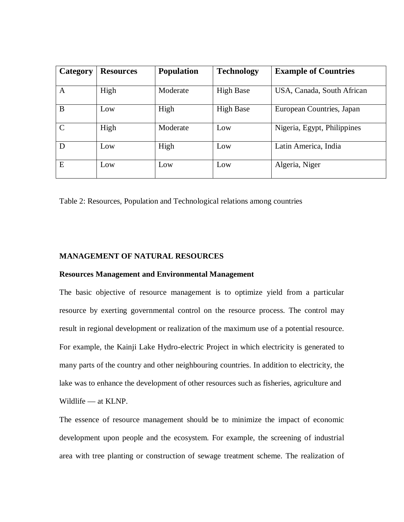| Category      | <b>Resources</b> | <b>Population</b> | <b>Technology</b> | <b>Example of Countries</b> |
|---------------|------------------|-------------------|-------------------|-----------------------------|
| A             | High             | Moderate          | <b>High Base</b>  | USA, Canada, South African  |
| B             | Low              | High              | <b>High Base</b>  | European Countries, Japan   |
| $\mathcal{C}$ | High             | Moderate          | Low               | Nigeria, Egypt, Philippines |
| D             | Low              | High              | Low               | Latin America, India        |
| E             | Low              | Low               | Low               | Algeria, Niger              |

Table 2: Resources, Population and Technological relations among countries

## **MANAGEMENT OF NATURAL RESOURCES**

## **Resources Management and Environmental Management**

The basic objective of resource management is to optimize yield from a particular resource by exerting governmental control on the resource process. The control may result in regional development or realization of the maximum use of a potential resource. For example, the Kainji Lake Hydro-electric Project in which electricity is generated to many parts of the country and other neighbouring countries. In addition to electricity, the lake was to enhance the development of other resources such as fisheries, agriculture and Wildlife — at KLNP.

The essence of resource management should be to minimize the impact of economic development upon people and the ecosystem. For example, the screening of industrial area with tree planting or construction of sewage treatment scheme. The realization of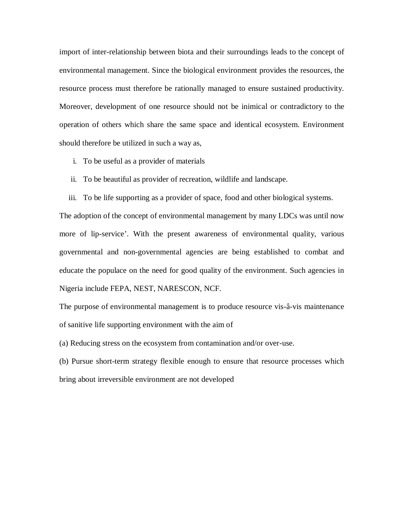import of inter-relationship between biota and their surroundings leads to the concept of environmental management. Since the biological environment provides the resources, the resource process must therefore be rationally managed to ensure sustained productivity. Moreover, development of one resource should not be inimical or contradictory to the operation of others which share the same space and identical ecosystem. Environment should therefore be utilized in such a way as,

- i. To be useful as a provider of materials
- ii. To be beautiful as provider of recreation, wildlife and landscape.
- iii. To be life supporting as a provider of space, food and other biological systems.

The adoption of the concept of environmental management by many LDCs was until now more of lip-service'. With the present awareness of environmental quality, various governmental and non-governmental agencies are being established to combat and educate the populace on the need for good quality of the environment. Such agencies in Nigeria include FEPA, NEST, NARESCON, NCF.

The purpose of environmental management is to produce resource vis-â-vis maintenance of sanitive life supporting environment with the aim of

(a) Reducing stress on the ecosystem from contamination and/or over-use.

(b) Pursue short-term strategy flexible enough to ensure that resource processes which bring about irreversible environment are not developed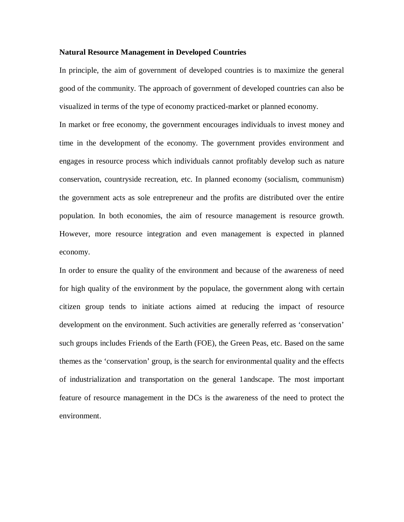## **Natural Resource Management in Developed Countries**

In principle, the aim of government of developed countries is to maximize the general good of the community. The approach of government of developed countries can also be visualized in terms of the type of economy practiced-market or planned economy.

In market or free economy, the government encourages individuals to invest money and time in the development of the economy. The government provides environment and engages in resource process which individuals cannot profitably develop such as nature conservation, countryside recreation, etc. In planned economy (socialism, communism) the government acts as sole entrepreneur and the profits are distributed over the entire population. In both economies, the aim of resource management is resource growth. However, more resource integration and even management is expected in planned economy.

In order to ensure the quality of the environment and because of the awareness of need for high quality of the environment by the populace, the government along with certain citizen group tends to initiate actions aimed at reducing the impact of resource development on the environment. Such activities are generally referred as 'conservation' such groups includes Friends of the Earth (FOE), the Green Peas, etc. Based on the same themes as the 'conservation' group, is the search for environmental quality and the effects of industrialization and transportation on the general 1andscape. The most important feature of resource management in the DCs is the awareness of the need to protect the environment.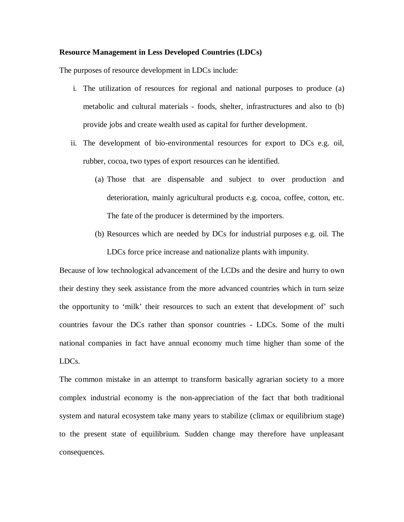## **Resource Management in Less Developed Countries (LDCs)**

The purposes of resource development in LDCs include:

- i. The utilization of resources for regional and national purposes to produce (a) metabolic and cultural materials - foods, shelter, infrastructures and also to (b) provide jobs and create wealth used as capital for further development.
- ii. The development of bio-environmental resources for export to DCs e.g. oil, rubber, cocoa, two types of export resources can he identified.
	- (a) Those that are dispensable and subject to over production and deterioration, mainly agricultural products e.g. cocoa, coffee, cotton, etc. The fate of the producer is determined by the importers.
	- (b) Resources which are needed by DCs for industrial purposes e.g. oil. The LDCs force price increase and nationalize plants with impunity.

Because of low technological advancement of the LCDs and the desire and hurry to own their destiny they seek assistance from the more advanced countries which in turn seize the opportunity to 'milk' their resources to such an extent that development of' such countries favour the DCs rather than sponsor countries - LDCs. Some of the multi national companies in fact have annual economy much time higher than some of the LDCs.

The common mistake in an attempt to transform basically agrarian society to a more complex industrial economy is the non-appreciation of the fact that both traditional system and natural ecosystem take many years to stabilize (climax or equilibrium stage) to the present state of equilibrium. Sudden change may therefore have unpleasant consequences.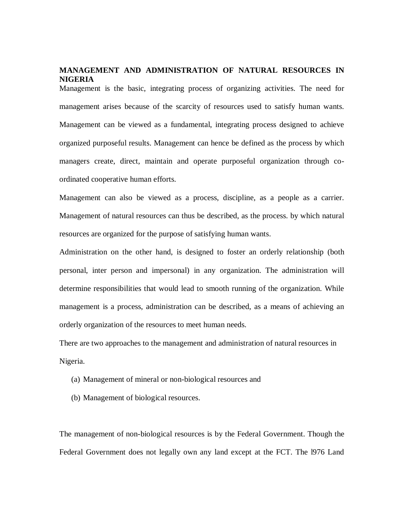## **MANAGEMENT AND ADMINISTRATION OF NATURAL RESOURCES IN NIGERIA**

Management is the basic, integrating process of organizing activities. The need for management arises because of the scarcity of resources used to satisfy human wants. Management can be viewed as a fundamental, integrating process designed to achieve organized purposeful results. Management can hence be defined as the process by which managers create, direct, maintain and operate purposeful organization through coordinated cooperative human efforts.

Management can also be viewed as a process, discipline, as a people as a carrier. Management of natural resources can thus be described, as the process. by which natural resources are organized for the purpose of satisfying human wants.

Administration on the other hand, is designed to foster an orderly relationship (both personal, inter person and impersonal) in any organization. The administration will determine responsibilities that would lead to smooth running of the organization. While management is a process, administration can be described, as a means of achieving an orderly organization of the resources to meet human needs.

There are two approaches to the management and administration of natural resources in Nigeria.

- (a) Management of mineral or non-biological resources and
- (b) Management of biological resources.

The management of non-biological resources is by the Federal Government. Though the Federal Government does not legally own any land except at the FCT. The l976 Land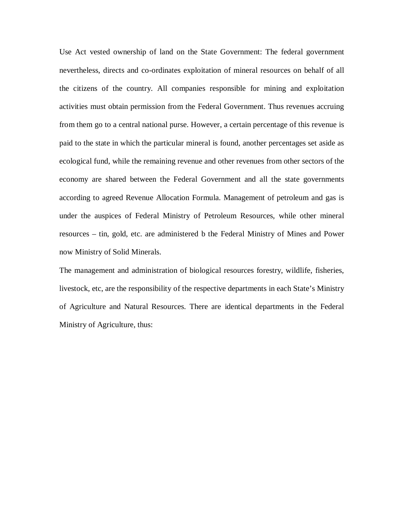Use Act vested ownership of land on the State Government: The federal government nevertheless, directs and co-ordinates exploitation of mineral resources on behalf of all the citizens of the country. All companies responsible for mining and exploitation activities must obtain permission from the Federal Government. Thus revenues accruing from them go to a central national purse. However, a certain percentage of this revenue is paid to the state in which the particular mineral is found, another percentages set aside as ecological fund, while the remaining revenue and other revenues from other sectors of the economy are shared between the Federal Government and all the state governments according to agreed Revenue Allocation Formula. Management of petroleum and gas is under the auspices of Federal Ministry of Petroleum Resources, while other mineral resources – tin, gold, etc. are administered b the Federal Ministry of Mines and Power now Ministry of Solid Minerals.

The management and administration of biological resources forestry, wildlife, fisheries, livestock, etc, are the responsibility of the respective departments in each State's Ministry of Agriculture and Natural Resources. There are identical departments in the Federal Ministry of Agriculture, thus: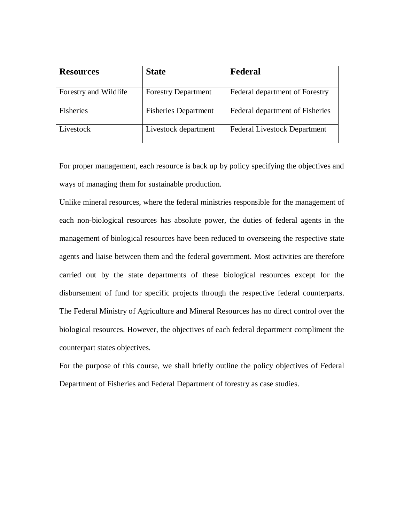| <b>Resources</b>      | <b>State</b>                | Federal                             |
|-----------------------|-----------------------------|-------------------------------------|
|                       |                             |                                     |
| Forestry and Wildlife | <b>Forestry Department</b>  | Federal department of Forestry      |
| Fisheries             | <b>Fisheries Department</b> | Federal department of Fisheries     |
| Livestock             | Livestock department        | <b>Federal Livestock Department</b> |

For proper management, each resource is back up by policy specifying the objectives and ways of managing them for sustainable production.

Unlike mineral resources, where the federal ministries responsible for the management of each non-biological resources has absolute power, the duties of federal agents in the management of biological resources have been reduced to overseeing the respective state agents and liaise between them and the federal government. Most activities are therefore carried out by the state departments of these biological resources except for the disbursement of fund for specific projects through the respective federal counterparts. The Federal Ministry of Agriculture and Mineral Resources has no direct control over the biological resources. However, the objectives of each federal department compliment the counterpart states objectives.

For the purpose of this course, we shall briefly outline the policy objectives of Federal Department of Fisheries and Federal Department of forestry as case studies.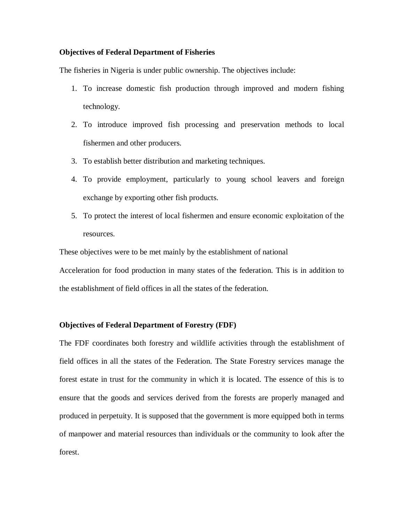## **Objectives of Federal Department of Fisheries**

The fisheries in Nigeria is under public ownership. The objectives include:

- 1. To increase domestic fish production through improved and modern fishing technology.
- 2. To introduce improved fish processing and preservation methods to local fishermen and other producers.
- 3. To establish better distribution and marketing techniques.
- 4. To provide employment, particularly to young school leavers and foreign exchange by exporting other fish products.
- 5. To protect the interest of local fishermen and ensure economic exploitation of the resources.

These objectives were to be met mainly by the establishment of national

Acceleration for food production in many states of the federation. This is in addition to the establishment of field offices in all the states of the federation.

## **Objectives of Federal Department of Forestry (FDF)**

The FDF coordinates both forestry and wildlife activities through the establishment of field offices in all the states of the Federation. The State Forestry services manage the forest estate in trust for the community in which it is located. The essence of this is to ensure that the goods and services derived from the forests are properly managed and produced in perpetuity. It is supposed that the government is more equipped both in terms of manpower and material resources than individuals or the community to look after the forest.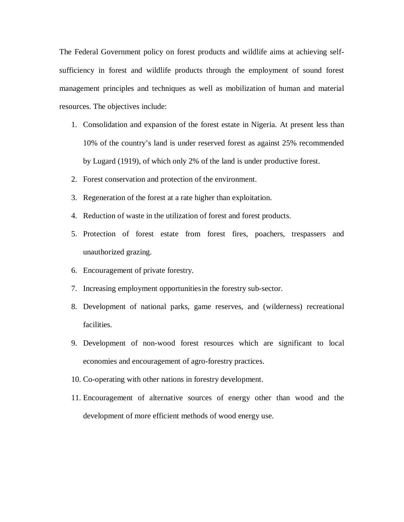The Federal Government policy on forest products and wildlife aims at achieving selfsufficiency in forest and wildlife products through the employment of sound forest management principles and techniques as well as mobilization of human and material resources. The objectives include:

- 1. Consolidation and expansion of the forest estate in Nigeria. At present less than 10% of the country's land is under reserved forest as against 25% recommended by Lugard (1919), of which only 2% of the land is under productive forest.
- 2. Forest conservation and protection of the environment.
- 3. Regeneration of the forest at a rate higher than exploitation.
- 4. Reduction of waste in the utilization of forest and forest products.
- 5. Protection of forest estate from forest fires, poachers, trespassers and unauthorized grazing.
- 6. Encouragement of private forestry.
- 7. Increasing employment opportunitiesin the forestry sub-sector.
- 8. Development of national parks, game reserves, and (wilderness) recreational facilities.
- 9. Development of non-wood forest resources which are significant to local economies and encouragement of agro-forestry practices.
- 10. Co-operating with other nations in forestry development.
- 11. Encouragement of alternative sources of energy other than wood and the development of more efficient methods of wood energy use.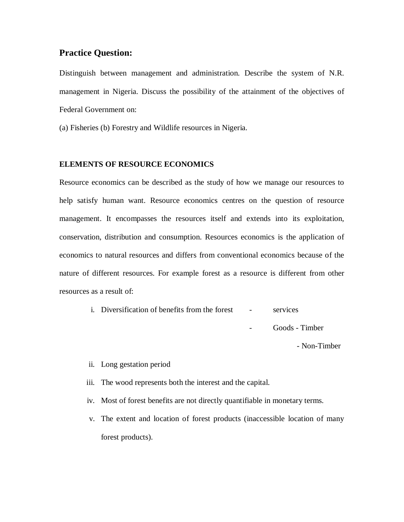# **Practice Question:**

Distinguish between management and administration. Describe the system of N.R. management in Nigeria. Discuss the possibility of the attainment of the objectives of Federal Government on:

(a) Fisheries (b) Forestry and Wildlife resources in Nigeria.

## **ELEMENTS OF RESOURCE ECONOMICS**

Resource economics can be described as the study of how we manage our resources to help satisfy human want. Resource economics centres on the question of resource management. It encompasses the resources itself and extends into its exploitation, conservation, distribution and consumption. Resources economics is the application of economics to natural resources and differs from conventional economics because of the nature of different resources. For example forest as a resource is different from other resources as a result of:

> i. Diversification of benefits from the forest - services Goods - Timber

> > - Non-Timber

ii. Long gestation period

- iii. The wood represents both the interest and the capital.
- iv. Most of forest benefits are not directly quantifiable in monetary terms.
- v. The extent and location of forest products (inaccessible location of many forest products).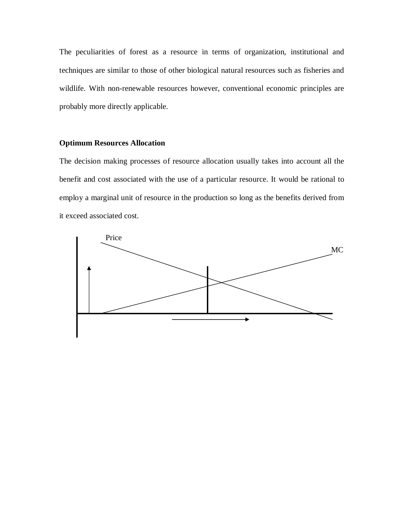The peculiarities of forest as a resource in terms of organization, institutional and techniques are similar to those of other biological natural resources such as fisheries and wildlife. With non-renewable resources however, conventional economic principles are probably more directly applicable.

## **Optimum Resources Allocation**

The decision making processes of resource allocation usually takes into account all the benefit and cost associated with the use of a particular resource. It would be rational to employ a marginal unit of resource in the production so long as the benefits derived from it exceed associated cost.

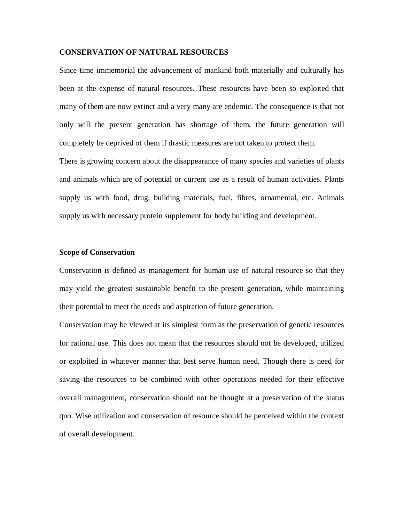## **CONSERVATION OF NATURAL RESOURCES**

Since time immemorial the advancement of mankind both materially and culturally has been at the expense of natural resources. These resources have been so exploited that many of them are now extinct and a very many are endemic. The consequence is that not only will the present generation has shortage of them, the future generation will completely be deprived of them if drastic measures are not taken to protect them.

There is growing concern about the disappearance of many species and varieties of plants and animals which are of potential or current use as a result of human activities. Plants supply us with food, drug, building materials, fuel, fibres, ornamental, etc. Animals supply us with necessary protein supplement for body building and development.

## **Scope of Conservation**

Conservation is defined as management for human use of natural resource so that they may yield the greatest sustainable benefit to the present generation, while maintaining their potential to meet the needs and aspiration of future generation.

Conservation may be viewed at its simplest form as the preservation of genetic resources for rational use. This does not mean that the resources should not be developed, utilized or exploited in whatever manner that best serve human need. Though there is need for saving the resources to be combined with other operations needed for their effective overall management, conservation should not be thought at a preservation of the status quo. Wise utilization and conservation of resource should be perceived within the context of overall development.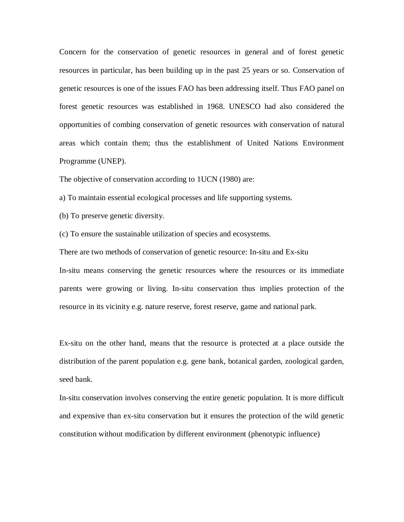Concern for the conservation of genetic resources in general and of forest genetic resources in particular, has been building up in the past 25 years or so. Conservation of genetic resources is one of the issues FAO has been addressing itself. Thus FAO panel on forest genetic resources was established in 1968. UNESCO had also considered the opportunities of combing conservation of genetic resources with conservation of natural areas which contain them; thus the establishment of United Nations Environment Programme (UNEP).

The objective of conservation according to 1UCN (1980) are:

a) To maintain essential ecological processes and life supporting systems.

(b) To preserve genetic diversity.

(c) To ensure the sustainable utilization of species and ecosystems.

There are two methods of conservation of genetic resource: In-situ and Ex-situ

In-situ means conserving the genetic resources where the resources or its immediate parents were growing or living. In-situ conservation thus implies protection of the resource in its vicinity e.g. nature reserve, forest reserve, game and national park.

Ex-situ on the other hand, means that the resource is protected at a place outside the distribution of the parent population e.g. gene bank, botanical garden, zoological garden, seed bank.

In-situ conservation involves conserving the entire genetic population. It is more difficult and expensive than ex-situ conservation but it ensures the protection of the wild genetic constitution without modification by different environment (phenotypic influence)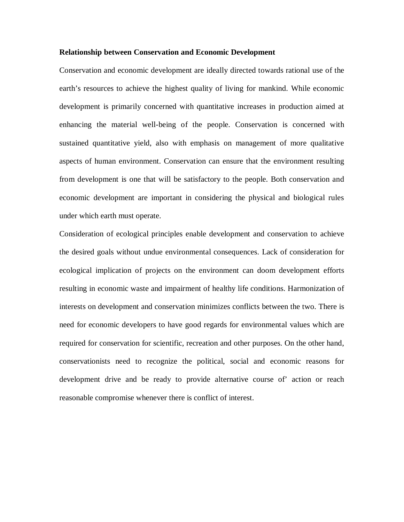#### **Relationship between Conservation and Economic Development**

Conservation and economic development are ideally directed towards rational use of the earth's resources to achieve the highest quality of living for mankind. While economic development is primarily concerned with quantitative increases in production aimed at enhancing the material well-being of the people. Conservation is concerned with sustained quantitative yield, also with emphasis on management of more qualitative aspects of human environment. Conservation can ensure that the environment resulting from development is one that will be satisfactory to the people. Both conservation and economic development are important in considering the physical and biological rules under which earth must operate.

Consideration of ecological principles enable development and conservation to achieve the desired goals without undue environmental consequences. Lack of consideration for ecological implication of projects on the environment can doom development efforts resulting in economic waste and impairment of healthy life conditions. Harmonization of interests on development and conservation minimizes conflicts between the two. There is need for economic developers to have good regards for environmental values which are required for conservation for scientific, recreation and other purposes. On the other hand, conservationists need to recognize the political, social and economic reasons for development drive and be ready to provide alternative course of' action or reach reasonable compromise whenever there is conflict of interest.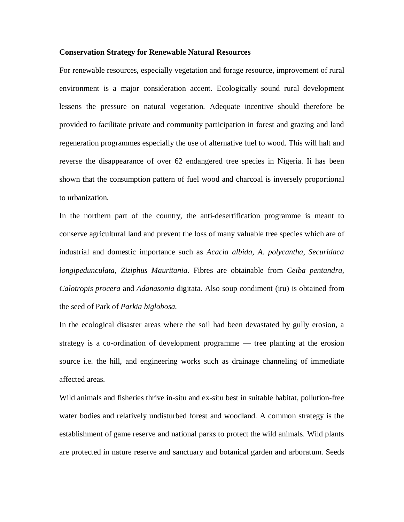## **Conservation Strategy for Renewable Natural Resources**

For renewable resources, especially vegetation and forage resource, improvement of rural environment is a major consideration accent. Ecologically sound rural development lessens the pressure on natural vegetation. Adequate incentive should therefore be provided to facilitate private and community participation in forest and grazing and land regeneration programmes especially the use of alternative fuel to wood. This will halt and reverse the disappearance of over 62 endangered tree species in Nigeria. Ii has been shown that the consumption pattern of fuel wood and charcoal is inversely proportional to urbanization.

In the northern part of the country, the anti-desertification programme is meant to conserve agricultural land and prevent the loss of many valuable tree species which are of industrial and domestic importance such as *Acacia albida, A. polycantha, Securidaca longipedunculata, Ziziphus Mauritania*. Fibres are obtainable from *Ceiba pentandra*, *Calotropis procera* and *Adanasonia* digitata. Also soup condiment (iru) is obtained from the seed of Park of *Parkia biglobosa.*

In the ecological disaster areas where the soil had been devastated by gully erosion, a strategy is a co-ordination of development programme — tree planting at the erosion source i.e. the hill, and engineering works such as drainage channeling of immediate affected areas.

Wild animals and fisheries thrive in-situ and ex-situ best in suitable habitat, pollution-free water bodies and relatively undisturbed forest and woodland. A common strategy is the establishment of game reserve and national parks to protect the wild animals. Wild plants are protected in nature reserve and sanctuary and botanical garden and arboratum. Seeds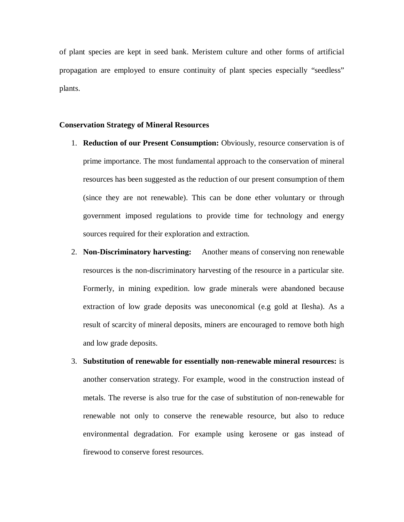of plant species are kept in seed bank. Meristem culture and other forms of artificial propagation are employed to ensure continuity of plant species especially "seedless" plants.

## **Conservation Strategy of Mineral Resources**

- 1. **Reduction of our Present Consumption:** Obviously, resource conservation is of prime importance. The most fundamental approach to the conservation of mineral resources has been suggested as the reduction of our present consumption of them (since they are not renewable). This can be done ether voluntary or through government imposed regulations to provide time for technology and energy sources required for their exploration and extraction.
- 2. **Non-Discriminatory harvesting:** Another means of conserving non renewable resources is the non-discriminatory harvesting of the resource in a particular site. Formerly, in mining expedition. low grade minerals were abandoned because extraction of low grade deposits was uneconomical (e.g gold at Ilesha). As a result of scarcity of mineral deposits, miners are encouraged to remove both high and low grade deposits.
- 3. **Substitution of renewable for essentially non-renewable mineral resources:** is another conservation strategy. For example, wood in the construction instead of metals. The reverse is also true for the case of substitution of non-renewable for renewable not only to conserve the renewable resource, but also to reduce environmental degradation. For example using kerosene or gas instead of firewood to conserve forest resources.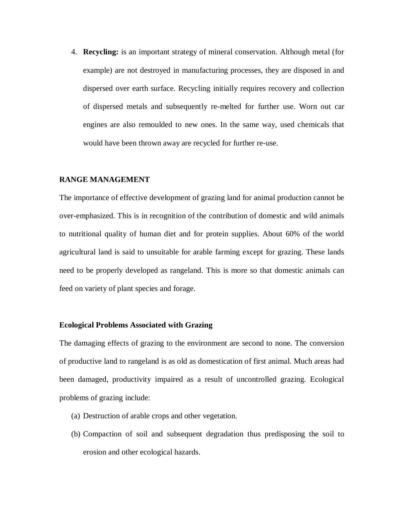4. **Recycling:** is an important strategy of mineral conservation. Although metal (for example) are not destroyed in manufacturing processes, they are disposed in and dispersed over earth surface. Recycling initially requires recovery and collection of dispersed metals and subsequently re-melted for further use. Worn out car engines are also remoulded to new ones. In the same way, used chemicals that would have been thrown away are recycled for further re-use.

## **RANGE MANAGEMENT**

The importance of effective development of grazing land for animal production cannot be over-emphasized. This is in recognition of the contribution of domestic and wild animals to nutritional quality of human diet and for protein supplies. About 60% of the world agricultural land is said to unsuitable for arable farming except for grazing. These lands need to be properly developed as rangeland. This is more so that domestic animals can feed on variety of plant species and forage.

## **Ecological Problems Associated with Grazing**

The damaging effects of grazing to the environment are second to none. The conversion of productive land to rangeland is as old as domestication of first animal. Much areas had been damaged, productivity impaired as a result of uncontrolled grazing. Ecological problems of grazing include:

- (a) Destruction of arable crops and other vegetation.
- (b) Compaction of soil and subsequent degradation thus predisposing the soil to erosion and other ecological hazards.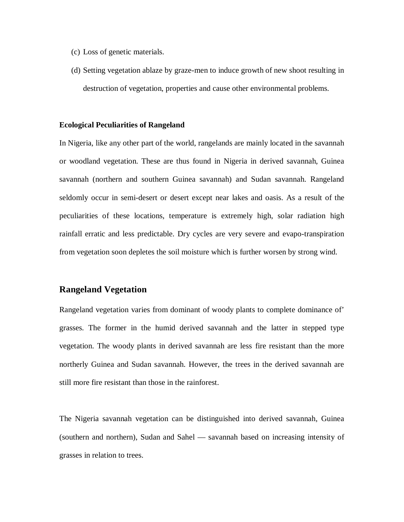- (c) Loss of genetic materials.
- (d) Setting vegetation ablaze by graze-men to induce growth of new shoot resulting in destruction of vegetation, properties and cause other environmental problems.

## **Ecological Peculiarities of Rangeland**

In Nigeria, like any other part of the world, rangelands are mainly located in the savannah or woodland vegetation. These are thus found in Nigeria in derived savannah, Guinea savannah (northern and southern Guinea savannah) and Sudan savannah. Rangeland seldomly occur in semi-desert or desert except near lakes and oasis. As a result of the peculiarities of these locations, temperature is extremely high, solar radiation high rainfall erratic and less predictable. Dry cycles are very severe and evapo-transpiration from vegetation soon depletes the soil moisture which is further worsen by strong wind.

# **Rangeland Vegetation**

Rangeland vegetation varies from dominant of woody plants to complete dominance of' grasses. The former in the humid derived savannah and the latter in stepped type vegetation. The woody plants in derived savannah are less fire resistant than the more northerly Guinea and Sudan savannah. However, the trees in the derived savannah are still more fire resistant than those in the rainforest.

The Nigeria savannah vegetation can be distinguished into derived savannah, Guinea (southern and northern), Sudan and Sahel — savannah based on increasing intensity of grasses in relation to trees.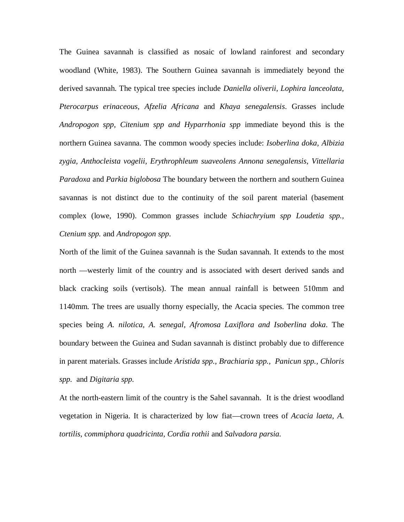The Guinea savannah is classified as nosaic of lowland rainforest and secondary woodland (White, 1983). The Southern Guinea savannah is immediately beyond the derived savannah. The typical tree species include *Daniella oliverii, Lophira lanceolata, Pterocarpus erinaceous*, *Afzelia Africana* and *Khaya senegalensis*. Grasses include *Andropogon spp, Citenium spp and Hyparrhonia spp* immediate beyond this is the northern Guinea savanna. The common woody species include: *Isoberlina doka, Albizia zygia, Anthocleista vogelii, Erythrophleum suaveolens Annona senegalensis, Vittellaria Paradoxa* and *Parkia biglobosa* The boundary between the northern and southern Guinea savannas is not distinct due to the continuity of the soil parent material (basement complex (lowe, 1990). Common grasses include *Schiachryium spp Loudetia spp., Ctenium spp.* and *Andropogon spp*.

North of the limit of the Guinea savannah is the Sudan savannah. It extends to the most north —westerly limit of the country and is associated with desert derived sands and black cracking soils (vertisols). The mean annual rainfall is between 510mm and 1140mm. The trees are usually thorny especially, the Acacia species. The common tree species being *A. nilotica, A. senegal, Afromosa Laxiflora and Isoberlina doka*. The boundary between the Guinea and Sudan savannah is distinct probably due to difference in parent materials. Grasses include *Aristida spp., Brachiaria spp., Panicun spp., Chloris spp.* and *Digitaria spp.*

At the north-eastern limit of the country is the Sahel savannah. It is the driest woodland vegetation in Nigeria. It is characterized by low fiat—crown trees of *Acacia laeta, A. tortilis, commiphora quadricinta, Cordia rothii* and *Salvadora parsia.*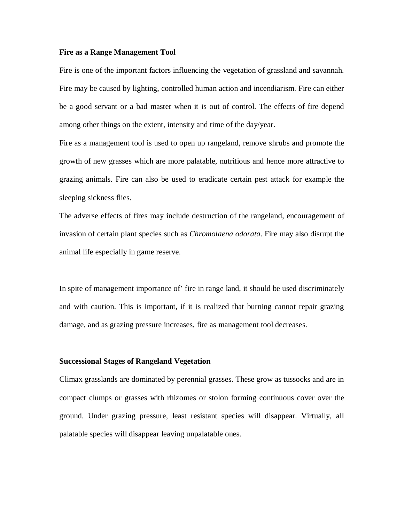## **Fire as a Range Management Tool**

Fire is one of the important factors influencing the vegetation of grassland and savannah. Fire may be caused by lighting, controlled human action and incendiarism. Fire can either be a good servant or a bad master when it is out of control. The effects of fire depend among other things on the extent, intensity and time of the day/year.

Fire as a management tool is used to open up rangeland, remove shrubs and promote the growth of new grasses which are more palatable, nutritious and hence more attractive to grazing animals. Fire can also be used to eradicate certain pest attack for example the sleeping sickness flies.

The adverse effects of fires may include destruction of the rangeland, encouragement of invasion of certain plant species such as *Chromolaena odorata*. Fire may also disrupt the animal life especially in game reserve.

In spite of management importance of' fire in range land, it should be used discriminately and with caution. This is important, if it is realized that burning cannot repair grazing damage, and as grazing pressure increases, fire as management tool decreases.

#### **Successional Stages of Rangeland Vegetation**

Climax grasslands are dominated by perennial grasses. These grow as tussocks and are in compact clumps or grasses with rhizomes or stolon forming continuous cover over the ground. Under grazing pressure, least resistant species will disappear. Virtually, all palatable species will disappear leaving unpalatable ones.